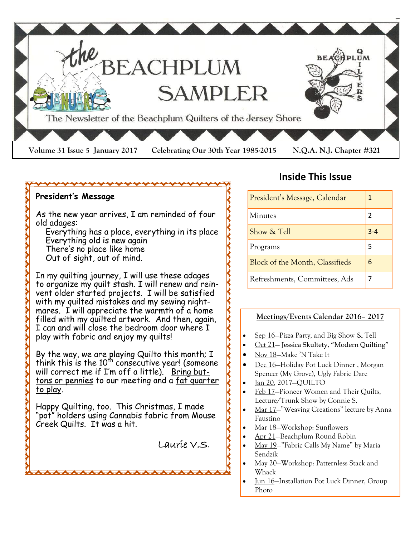

### <del>~~~~~~~~~~~~~~~~~~~~~</del>

### **President's Message**

As the new year arrives, I am reminded of four old adages:

 Everything has a place, everything in its place Everything old is new again There's no place like home Out of sight, out of mind.

In my quilting journey, I will use these adages to organize my quilt stash. I will renew and reinvent older started projects. I will be satisfied with my quilted mistakes and my sewing nightmares. I will appreciate the warmth of a home filled with my quilted artwork. And then, again, I can and will close the bedroom door where I play with fabric and enjoy my quilts!

By the way, we are playing Quilto this month; I think this is the  $10^{\text{th}}$  consecutive year! (someone will correct me if I'm off a little). <u>Bring but-</u> tons or pennies to our meeting and a fat quarter to play.

Happy Quilting, too. This Christmas, I made "pot" holders using Cannabis fabric from Mouse Creek Quilts. It was a hit.

Laurie V.S.

# **Inside This Issue**

| President's Message, Calendar   | 1       |
|---------------------------------|---------|
| Minutes                         | 2       |
| Show & Tell                     | $3 - 4$ |
| Programs                        | 5       |
| Block of the Month, Classifieds | 6       |
| Refreshments, Committees, Ads   | 7       |

### **Meetings/Events Calendar 2016– 2017**

- Sep 16—Pizza Party, and Big Show & Tell
- Oct 21— Jessica Skultety, "Modern Quilting"
- Nov 18—Make 'N Take It
- Dec 16—Holiday Pot Luck Dinner , Morgan Spencer (My Grove), Ugly Fabric Dare
- Jan 20, 2017—QUILTO
- Feb 17—Pioneer Women and Their Quilts, Lecture/Trunk Show by Connie S.
- Mar 17—"Weaving Creations" lecture by Anna Faustino
- Mar 18—Workshop: Sunflowers
- Apr 21—Beachplum Round Robin
- May 19—"Fabric Calls My Name" by Maria Sendzik
- May 20—Workshop: Patternless Stack and Whack
- Jun 16—Installation Pot Luck Dinner, Group Photo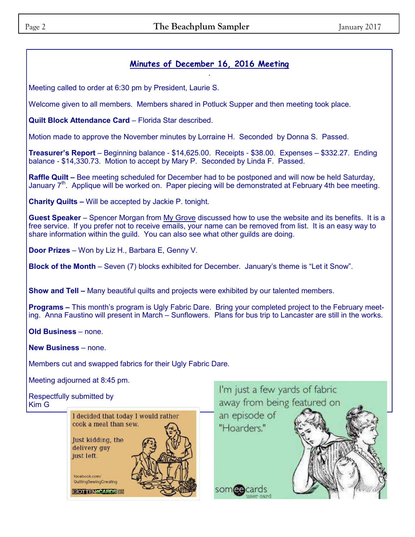### **Minutes of December 16, 2016 Meeting**  .

Meeting called to order at 6:30 pm by President, Laurie S.

Welcome given to all members. Members shared in Potluck Supper and then meeting took place.

**Quilt Block Attendance Card** – Florida Star described.

Motion made to approve the November minutes by Lorraine H. Seconded by Donna S. Passed.

**Treasurer's Report** – Beginning balance - \$14,625.00. Receipts - \$38.00. Expenses – \$332.27. Ending balance - \$14,330.73. Motion to accept by Mary P. Seconded by Linda F. Passed.

**Raffle Quilt –** Bee meeting scheduled for December had to be postponed and will now be held Saturday, January  $7<sup>th</sup>$ . Applique will be worked on. Paper piecing will be demonstrated at February 4th bee meeting.

**Charity Quilts –** Will be accepted by Jackie P. tonight.

**Guest Speaker** – Spencer Morgan from My Grove discussed how to use the website and its benefits. It is a free service. If you prefer not to receive emails, your name can be removed from list. It is an easy way to share information within the guild. You can also see what other guilds are doing.

**Door Prizes** – Won by Liz H., Barbara E, Genny V.

**Block of the Month** – Seven (7) blocks exhibited for December. January's theme is "Let it Snow".

**Show and Tell –** Many beautiful quilts and projects were exhibited by our talented members.

**Programs –** This month's program is Ugly Fabric Dare. Bring your completed project to the February meeting. Anna Faustino will present in March – Sunflowers. Plans for bus trip to Lancaster are still in the works.

**Old Business** – none.

**New Business** – none.

Members cut and swapped fabrics for their Ugly Fabric Dare.

Meeting adjourned at 8:45 pm.

### I'm just a few yards of fabric Respectfully submitted by away from being featured on Kim Gan episode of I decided that today I would rather cook a meal than sew. "Hoarders." Just kidding, the delivery guy just left. facebook.com/ QuiltingSewingCreating cards somee ROTTENCOAPDS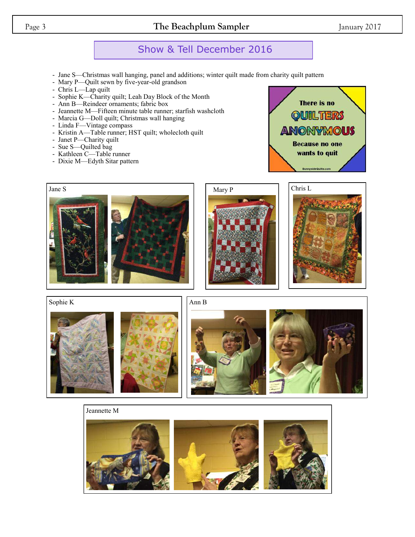## Page 3 **The Beachplum Sampler** January 2017

# Show & Tell December 2016

- Jane S—Christmas wall hanging, panel and additions; winter quilt made from charity quilt pattern
- Mary P—Quilt sewn by five-year-old grandson
- Chris L—Lap quilt
- Sophie K—Charity quilt; Leah Day Block of the Month
- Ann B—Reindeer ornaments; fabric box
- Jeannette M—Fifteen minute table runner; starfish washcloth
- Marcia G—Doll quilt; Christmas wall hanging
- Linda F—Vintage compass
- Kristin A—Table runner; HST quilt; wholecloth quilt
- Janet P—Charity quilt
- Sue S—Quilted bag
- Kathleen C—Table runner
- Dixie M—Edyth Sitar pattern

There is no **OUILTERS ANONYMOUS Because no one** wants to quit





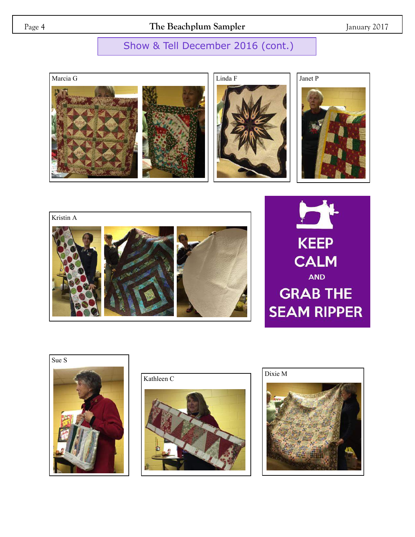Page 4 **The Beachplum Sampler** January 2017

# Show & Tell December 2016 (cont.)











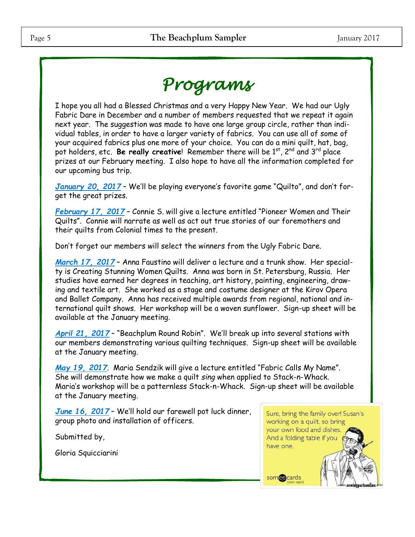# *Programs*

I hope you all had a Blessed Christmas and a very Happy New Year. We had our Ugly Fabric Dare in December and a number of members requested that we repeat it again next year. The suggestion was made to have one large group circle, rather than individual tables, in order to have a larger variety of fabrics. You can use all of some of your acquired fabrics plus one more of your choice. You can do a mini quilt, hat, bag, pot holders, etc. **Be really creative**! Remember there will be 1<sup>st</sup>, 2<sup>nd</sup> and 3<sup>rd</sup> place prizes at our February meeting. I also hope to have all the information completed for our upcoming bus trip.

*January 20, 2017* – We'll be playing everyone's favorite game "Quilto", and don't forget the great prizes.

*February 17, 2017* – Connie S. will give a lecture entitled "Pioneer Women and Their Quilts". Connie will narrate as well as act out true stories of our foremothers and their quilts from Colonial times to the present.

Don't forget our members will select the winners from the Ugly Fabric Dare.

*March 17, 2017* – Anna Faustino will deliver a lecture and a trunk show. Her specialty is Creating Stunning Women Quilts. Anna was born in St. Petersburg, Russia. Her studies have earned her degrees in teaching, art history, painting, engineering, drawing and textile art. She worked as a stage and costume designer at the Kirov Opera and Ballet Company. Anna has received multiple awards from regional, national and international quilt shows. Her workshop will be a woven sunflower. Sign-up sheet will be available at the January meeting.

*April 21, 2017* – "Beachplum Round Robin". We'll break up into several stations with our members demonstrating various quilting techniques. Sign-up sheet will be available at the January meeting.

*May 19, 2017*. Maria Sendzik will give a lecture entitled "Fabric Calls My Name". She will demonstrate how we make a quilt *sing* when applied to Stack-n-Whack. Maria's workshop will be a patternless Stack-n-Whack. Sign-up sheet will be available at the January meeting.

*June 16, 2017* – We'll hold our farewell pot luck dinner, group photo and installation of officers.

Submitted by,

Gloria Squicciarini

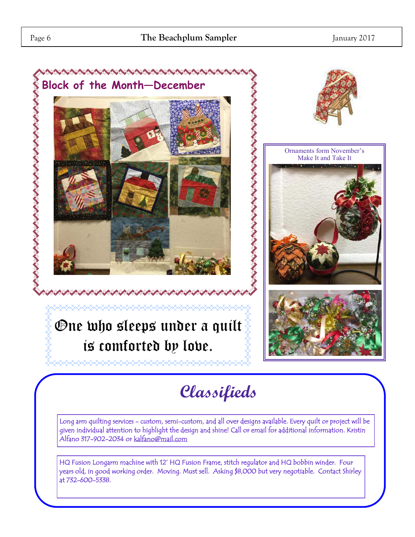

# **Classifieds**

Long arm quilting services - custom, semi-custom, and all over designs available. Every quilt or project will be given individual attention to highlight the design and shine! Call or email for additional information. Kristin Alfano 317-902-2034 or [kalfano@mail.com](mailto:kalfano@mail.com) 

HQ Fusion Longarm machine with 12' HQ Fusion Frame, stitch regulator and HQ bobbin winder. Four years old, in good working order. Moving. Must sell. Asking \$8,000 but very negotiable. Contact Shirley at 732-600-5338.